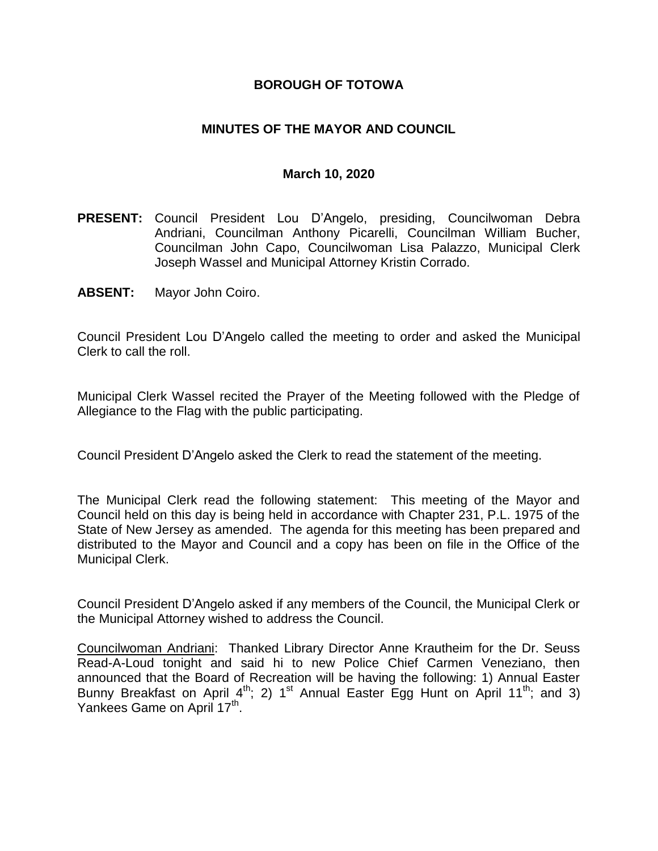## **BOROUGH OF TOTOWA**

## **MINUTES OF THE MAYOR AND COUNCIL**

#### **March 10, 2020**

- **PRESENT:** Council President Lou D'Angelo, presiding, Councilwoman Debra Andriani, Councilman Anthony Picarelli, Councilman William Bucher, Councilman John Capo, Councilwoman Lisa Palazzo, Municipal Clerk Joseph Wassel and Municipal Attorney Kristin Corrado.
- **ABSENT:** Mayor John Coiro.

Council President Lou D'Angelo called the meeting to order and asked the Municipal Clerk to call the roll.

Municipal Clerk Wassel recited the Prayer of the Meeting followed with the Pledge of Allegiance to the Flag with the public participating.

Council President D'Angelo asked the Clerk to read the statement of the meeting.

The Municipal Clerk read the following statement: This meeting of the Mayor and Council held on this day is being held in accordance with Chapter 231, P.L. 1975 of the State of New Jersey as amended. The agenda for this meeting has been prepared and distributed to the Mayor and Council and a copy has been on file in the Office of the Municipal Clerk.

Council President D'Angelo asked if any members of the Council, the Municipal Clerk or the Municipal Attorney wished to address the Council.

Councilwoman Andriani: Thanked Library Director Anne Krautheim for the Dr. Seuss Read-A-Loud tonight and said hi to new Police Chief Carmen Veneziano, then announced that the Board of Recreation will be having the following: 1) Annual Easter Bunny Breakfast on April  $4^{th}$ ; 2) 1<sup>st</sup> Annual Easter Egg Hunt on April 11<sup>th</sup>; and 3) Yankees Game on April 17<sup>th</sup>.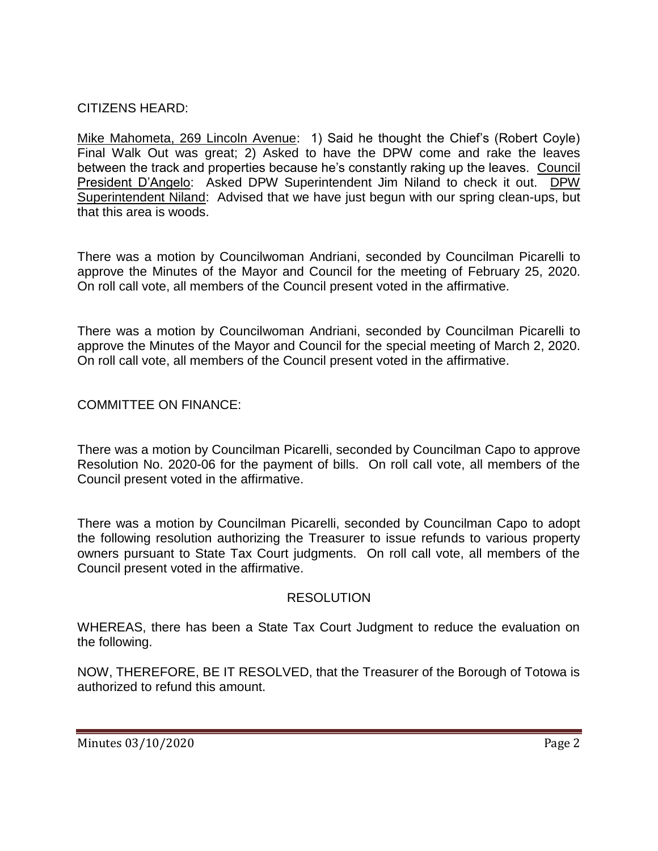# CITIZENS HEARD:

Mike Mahometa, 269 Lincoln Avenue: 1) Said he thought the Chief's (Robert Coyle) Final Walk Out was great; 2) Asked to have the DPW come and rake the leaves between the track and properties because he's constantly raking up the leaves. Council President D'Angelo: Asked DPW Superintendent Jim Niland to check it out. DPW Superintendent Niland: Advised that we have just begun with our spring clean-ups, but that this area is woods.

There was a motion by Councilwoman Andriani, seconded by Councilman Picarelli to approve the Minutes of the Mayor and Council for the meeting of February 25, 2020. On roll call vote, all members of the Council present voted in the affirmative.

There was a motion by Councilwoman Andriani, seconded by Councilman Picarelli to approve the Minutes of the Mayor and Council for the special meeting of March 2, 2020. On roll call vote, all members of the Council present voted in the affirmative.

COMMITTEE ON FINANCE:

There was a motion by Councilman Picarelli, seconded by Councilman Capo to approve Resolution No. 2020-06 for the payment of bills. On roll call vote, all members of the Council present voted in the affirmative.

There was a motion by Councilman Picarelli, seconded by Councilman Capo to adopt the following resolution authorizing the Treasurer to issue refunds to various property owners pursuant to State Tax Court judgments. On roll call vote, all members of the Council present voted in the affirmative.

#### **RESOLUTION**

WHEREAS, there has been a State Tax Court Judgment to reduce the evaluation on the following.

NOW, THEREFORE, BE IT RESOLVED, that the Treasurer of the Borough of Totowa is authorized to refund this amount.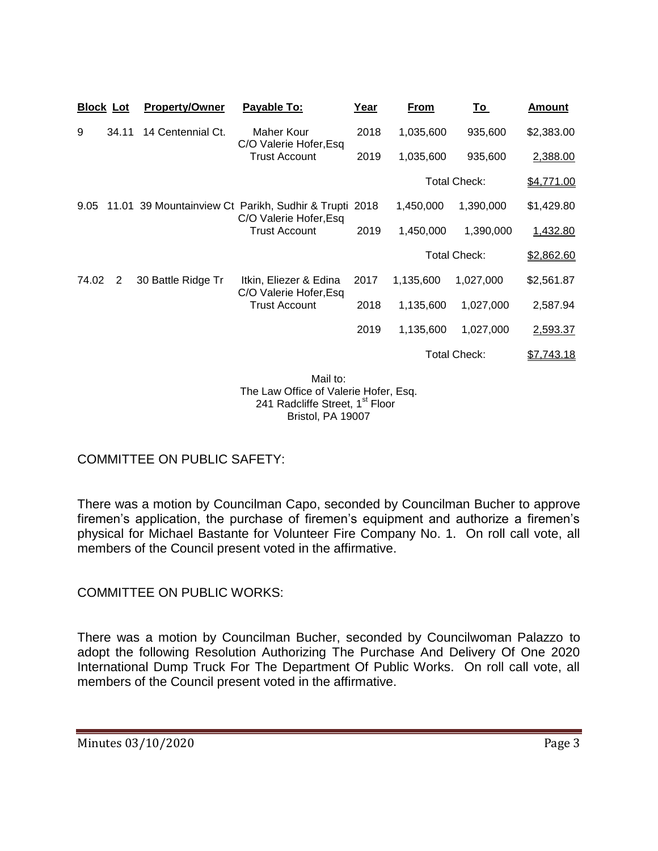| <b>Block Lot</b> |       | <b>Property/Owner</b> | Payable To:                                                                                             | Year | From                | <u>To</u>           | <b>Amount</b> |
|------------------|-------|-----------------------|---------------------------------------------------------------------------------------------------------|------|---------------------|---------------------|---------------|
| 9                | 34.11 | 14 Centennial Ct.     | Maher Kour<br>C/O Valerie Hofer, Esq<br><b>Trust Account</b>                                            | 2018 | 1,035,600           | 935,600             | \$2,383.00    |
|                  |       |                       |                                                                                                         | 2019 | 1,035,600           | 935,600             | 2,388.00      |
|                  |       |                       |                                                                                                         |      | <b>Total Check:</b> |                     | \$4,771.00    |
| 9.05             |       |                       | 11.01 39 Mountainview Ct Parikh, Sudhir & Trupti 2018<br>C/O Valerie Hofer, Esq<br><b>Trust Account</b> |      | 1,450,000           | 1,390,000           | \$1,429.80    |
|                  |       |                       |                                                                                                         | 2019 | 1,450,000           | 1,390,000           | 1,432.80      |
|                  |       |                       |                                                                                                         |      | <b>Total Check:</b> |                     | \$2,862.60    |
| 74.02            | 2     | 30 Battle Ridge Tr    | Itkin, Eliezer & Edina<br>C/O Valerie Hofer, Esq<br><b>Trust Account</b>                                | 2017 | 1,135,600           | 1,027,000           | \$2,561.87    |
|                  |       |                       |                                                                                                         | 2018 | 1,135,600           | 1,027,000           | 2,587.94      |
|                  |       |                       |                                                                                                         | 2019 | 1,135,600           | 1,027,000           | 2,593.37      |
|                  |       |                       |                                                                                                         |      |                     | <b>Total Check:</b> | \$7,743.18    |
|                  |       |                       |                                                                                                         |      |                     |                     |               |

Mail to: The Law Office of Valerie Hofer, Esq. 241 Radcliffe Street, 1<sup>st</sup> Floor Bristol, PA 19007

# COMMITTEE ON PUBLIC SAFETY:

There was a motion by Councilman Capo, seconded by Councilman Bucher to approve firemen's application, the purchase of firemen's equipment and authorize a firemen's physical for Michael Bastante for Volunteer Fire Company No. 1. On roll call vote, all members of the Council present voted in the affirmative.

# COMMITTEE ON PUBLIC WORKS:

There was a motion by Councilman Bucher, seconded by Councilwoman Palazzo to adopt the following Resolution Authorizing The Purchase And Delivery Of One 2020 International Dump Truck For The Department Of Public Works. On roll call vote, all members of the Council present voted in the affirmative.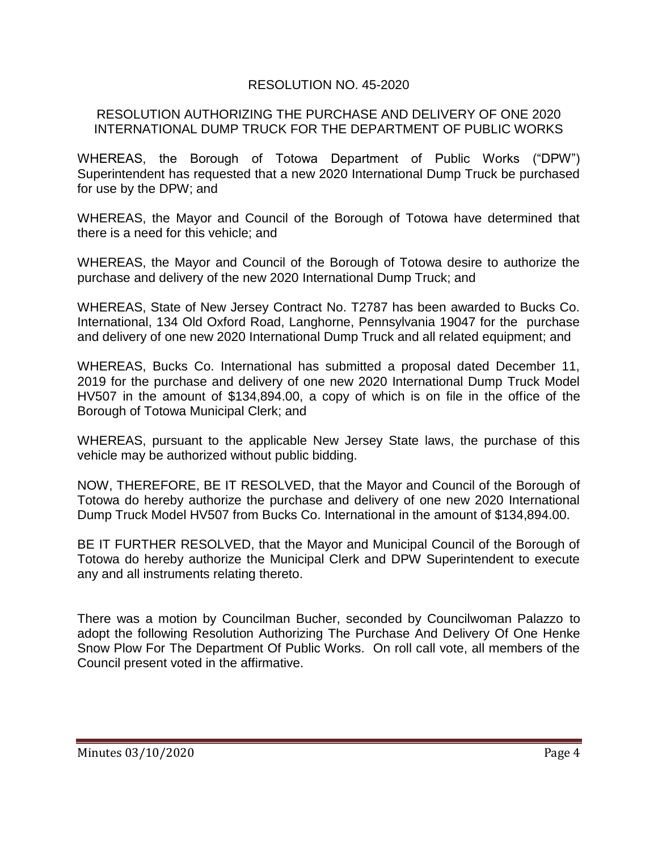## RESOLUTION NO. 45-2020

#### RESOLUTION AUTHORIZING THE PURCHASE AND DELIVERY OF ONE 2020 INTERNATIONAL DUMP TRUCK FOR THE DEPARTMENT OF PUBLIC WORKS

WHEREAS, the Borough of Totowa Department of Public Works ("DPW") Superintendent has requested that a new 2020 International Dump Truck be purchased for use by the DPW; and

WHEREAS, the Mayor and Council of the Borough of Totowa have determined that there is a need for this vehicle; and

WHEREAS, the Mayor and Council of the Borough of Totowa desire to authorize the purchase and delivery of the new 2020 International Dump Truck; and

WHEREAS, State of New Jersey Contract No. T2787 has been awarded to Bucks Co. International, 134 Old Oxford Road, Langhorne, Pennsylvania 19047 for the purchase and delivery of one new 2020 International Dump Truck and all related equipment; and

WHEREAS, Bucks Co. International has submitted a proposal dated December 11, 2019 for the purchase and delivery of one new 2020 International Dump Truck Model HV507 in the amount of \$134,894.00, a copy of which is on file in the office of the Borough of Totowa Municipal Clerk; and

WHEREAS, pursuant to the applicable New Jersey State laws, the purchase of this vehicle may be authorized without public bidding.

NOW, THEREFORE, BE IT RESOLVED, that the Mayor and Council of the Borough of Totowa do hereby authorize the purchase and delivery of one new 2020 International Dump Truck Model HV507 from Bucks Co. International in the amount of \$134,894.00.

BE IT FURTHER RESOLVED, that the Mayor and Municipal Council of the Borough of Totowa do hereby authorize the Municipal Clerk and DPW Superintendent to execute any and all instruments relating thereto.

There was a motion by Councilman Bucher, seconded by Councilwoman Palazzo to adopt the following Resolution Authorizing The Purchase And Delivery Of One Henke Snow Plow For The Department Of Public Works. On roll call vote, all members of the Council present voted in the affirmative.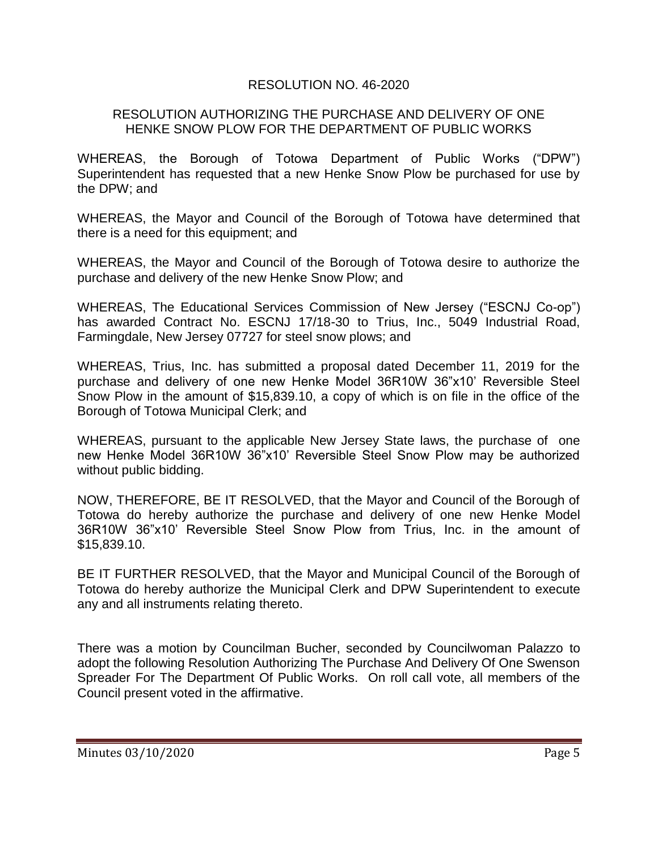## RESOLUTION NO. 46-2020

#### RESOLUTION AUTHORIZING THE PURCHASE AND DELIVERY OF ONE HENKE SNOW PLOW FOR THE DEPARTMENT OF PUBLIC WORKS

WHEREAS, the Borough of Totowa Department of Public Works ("DPW") Superintendent has requested that a new Henke Snow Plow be purchased for use by the DPW; and

WHEREAS, the Mayor and Council of the Borough of Totowa have determined that there is a need for this equipment; and

WHEREAS, the Mayor and Council of the Borough of Totowa desire to authorize the purchase and delivery of the new Henke Snow Plow; and

WHEREAS, The Educational Services Commission of New Jersey ("ESCNJ Co-op") has awarded Contract No. ESCNJ 17/18-30 to Trius, Inc., 5049 Industrial Road, Farmingdale, New Jersey 07727 for steel snow plows; and

WHEREAS, Trius, Inc. has submitted a proposal dated December 11, 2019 for the purchase and delivery of one new Henke Model 36R10W 36"x10' Reversible Steel Snow Plow in the amount of \$15,839.10, a copy of which is on file in the office of the Borough of Totowa Municipal Clerk; and

WHEREAS, pursuant to the applicable New Jersey State laws, the purchase of one new Henke Model 36R10W 36"x10' Reversible Steel Snow Plow may be authorized without public bidding.

NOW, THEREFORE, BE IT RESOLVED, that the Mayor and Council of the Borough of Totowa do hereby authorize the purchase and delivery of one new Henke Model 36R10W 36"x10' Reversible Steel Snow Plow from Trius, Inc. in the amount of \$15,839.10.

BE IT FURTHER RESOLVED, that the Mayor and Municipal Council of the Borough of Totowa do hereby authorize the Municipal Clerk and DPW Superintendent to execute any and all instruments relating thereto.

There was a motion by Councilman Bucher, seconded by Councilwoman Palazzo to adopt the following Resolution Authorizing The Purchase And Delivery Of One Swenson Spreader For The Department Of Public Works. On roll call vote, all members of the Council present voted in the affirmative.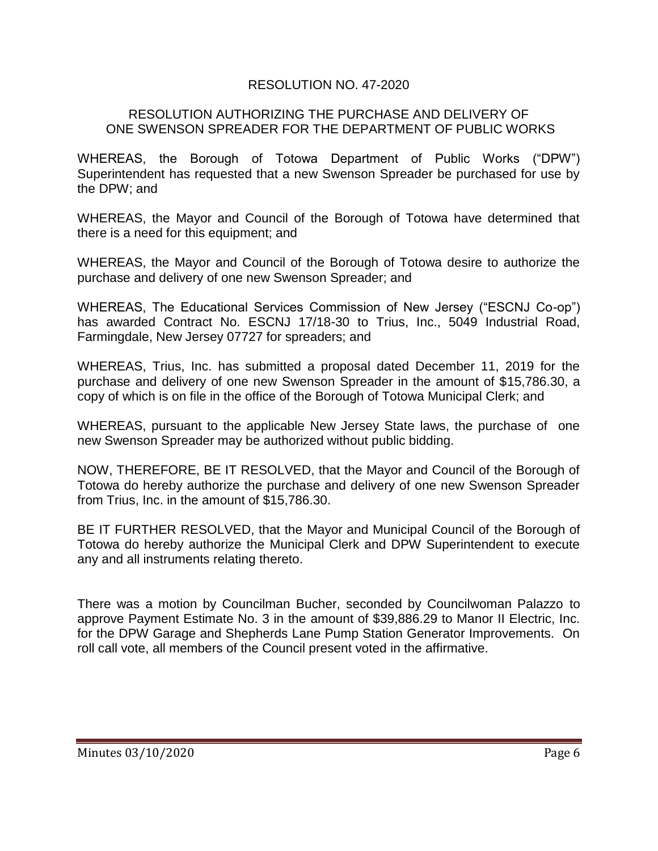## RESOLUTION NO. 47-2020

#### RESOLUTION AUTHORIZING THE PURCHASE AND DELIVERY OF ONE SWENSON SPREADER FOR THE DEPARTMENT OF PUBLIC WORKS

WHEREAS, the Borough of Totowa Department of Public Works ("DPW") Superintendent has requested that a new Swenson Spreader be purchased for use by the DPW; and

WHEREAS, the Mayor and Council of the Borough of Totowa have determined that there is a need for this equipment; and

WHEREAS, the Mayor and Council of the Borough of Totowa desire to authorize the purchase and delivery of one new Swenson Spreader; and

WHEREAS, The Educational Services Commission of New Jersey ("ESCNJ Co-op") has awarded Contract No. ESCNJ 17/18-30 to Trius, Inc., 5049 Industrial Road, Farmingdale, New Jersey 07727 for spreaders; and

WHEREAS, Trius, Inc. has submitted a proposal dated December 11, 2019 for the purchase and delivery of one new Swenson Spreader in the amount of \$15,786.30, a copy of which is on file in the office of the Borough of Totowa Municipal Clerk; and

WHEREAS, pursuant to the applicable New Jersey State laws, the purchase of one new Swenson Spreader may be authorized without public bidding.

NOW, THEREFORE, BE IT RESOLVED, that the Mayor and Council of the Borough of Totowa do hereby authorize the purchase and delivery of one new Swenson Spreader from Trius, Inc. in the amount of \$15,786.30.

BE IT FURTHER RESOLVED, that the Mayor and Municipal Council of the Borough of Totowa do hereby authorize the Municipal Clerk and DPW Superintendent to execute any and all instruments relating thereto.

There was a motion by Councilman Bucher, seconded by Councilwoman Palazzo to approve Payment Estimate No. 3 in the amount of \$39,886.29 to Manor II Electric, Inc. for the DPW Garage and Shepherds Lane Pump Station Generator Improvements. On roll call vote, all members of the Council present voted in the affirmative.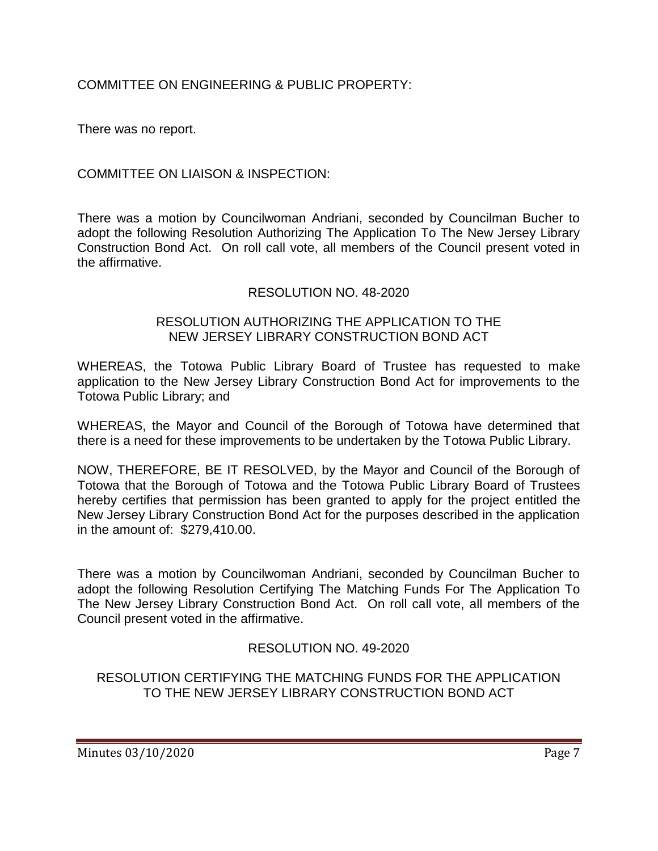# COMMITTEE ON ENGINEERING & PUBLIC PROPERTY:

There was no report.

## COMMITTEE ON LIAISON & INSPECTION:

There was a motion by Councilwoman Andriani, seconded by Councilman Bucher to adopt the following Resolution Authorizing The Application To The New Jersey Library Construction Bond Act. On roll call vote, all members of the Council present voted in the affirmative.

## RESOLUTION NO. 48-2020

#### RESOLUTION AUTHORIZING THE APPLICATION TO THE NEW JERSEY LIBRARY CONSTRUCTION BOND ACT

WHEREAS, the Totowa Public Library Board of Trustee has requested to make application to the New Jersey Library Construction Bond Act for improvements to the Totowa Public Library; and

WHEREAS, the Mayor and Council of the Borough of Totowa have determined that there is a need for these improvements to be undertaken by the Totowa Public Library.

NOW, THEREFORE, BE IT RESOLVED, by the Mayor and Council of the Borough of Totowa that the Borough of Totowa and the Totowa Public Library Board of Trustees hereby certifies that permission has been granted to apply for the project entitled the New Jersey Library Construction Bond Act for the purposes described in the application in the amount of: \$279,410.00.

There was a motion by Councilwoman Andriani, seconded by Councilman Bucher to adopt the following Resolution Certifying The Matching Funds For The Application To The New Jersey Library Construction Bond Act. On roll call vote, all members of the Council present voted in the affirmative.

# RESOLUTION NO. 49-2020

#### RESOLUTION CERTIFYING THE MATCHING FUNDS FOR THE APPLICATION TO THE NEW JERSEY LIBRARY CONSTRUCTION BOND ACT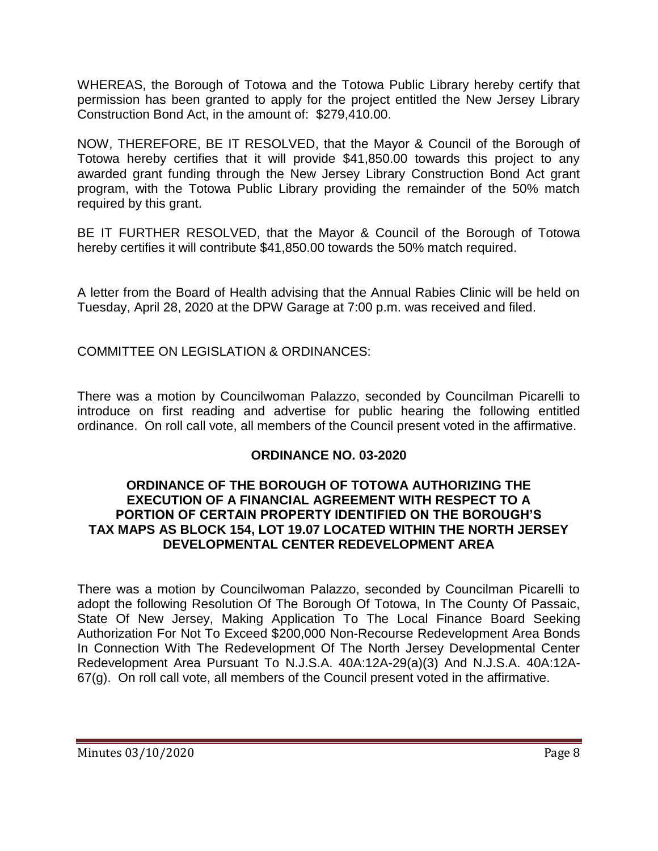WHEREAS, the Borough of Totowa and the Totowa Public Library hereby certify that permission has been granted to apply for the project entitled the New Jersey Library Construction Bond Act, in the amount of: \$279,410.00.

NOW, THEREFORE, BE IT RESOLVED, that the Mayor & Council of the Borough of Totowa hereby certifies that it will provide \$41,850.00 towards this project to any awarded grant funding through the New Jersey Library Construction Bond Act grant program, with the Totowa Public Library providing the remainder of the 50% match required by this grant.

BE IT FURTHER RESOLVED, that the Mayor & Council of the Borough of Totowa hereby certifies it will contribute \$41,850.00 towards the 50% match required.

A letter from the Board of Health advising that the Annual Rabies Clinic will be held on Tuesday, April 28, 2020 at the DPW Garage at 7:00 p.m. was received and filed.

COMMITTEE ON LEGISLATION & ORDINANCES:

There was a motion by Councilwoman Palazzo, seconded by Councilman Picarelli to introduce on first reading and advertise for public hearing the following entitled ordinance. On roll call vote, all members of the Council present voted in the affirmative.

# **ORDINANCE NO. 03-2020**

#### **ORDINANCE OF THE BOROUGH OF TOTOWA AUTHORIZING THE EXECUTION OF A FINANCIAL AGREEMENT WITH RESPECT TO A PORTION OF CERTAIN PROPERTY IDENTIFIED ON THE BOROUGH'S TAX MAPS AS BLOCK 154, LOT 19.07 LOCATED WITHIN THE NORTH JERSEY DEVELOPMENTAL CENTER REDEVELOPMENT AREA**

There was a motion by Councilwoman Palazzo, seconded by Councilman Picarelli to adopt the following Resolution Of The Borough Of Totowa, In The County Of Passaic, State Of New Jersey, Making Application To The Local Finance Board Seeking Authorization For Not To Exceed \$200,000 Non-Recourse Redevelopment Area Bonds In Connection With The Redevelopment Of The North Jersey Developmental Center Redevelopment Area Pursuant To N.J.S.A. 40A:12A-29(a)(3) And N.J.S.A. 40A:12A-67(g). On roll call vote, all members of the Council present voted in the affirmative.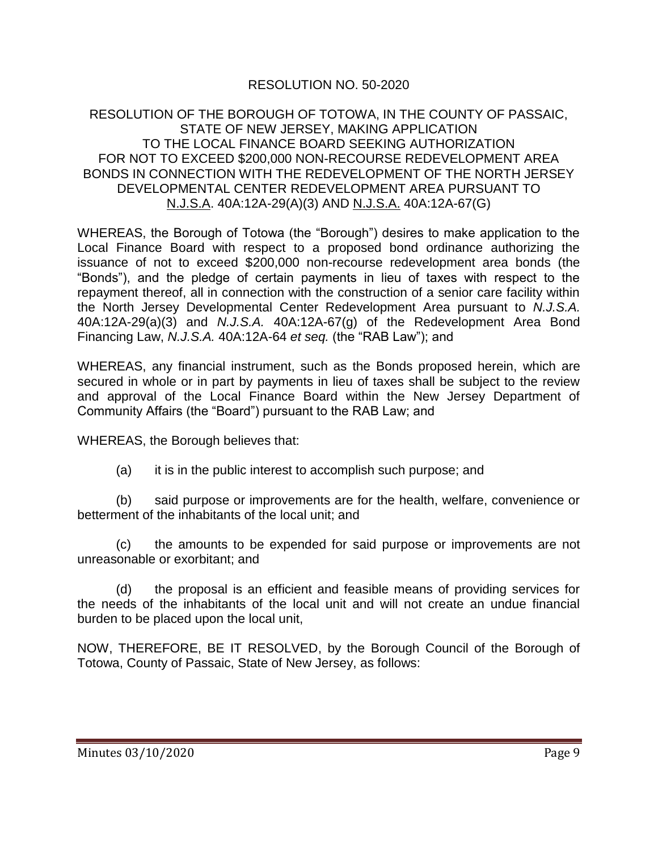# RESOLUTION NO. 50-2020

#### RESOLUTION OF THE BOROUGH OF TOTOWA, IN THE COUNTY OF PASSAIC, STATE OF NEW JERSEY, MAKING APPLICATION TO THE LOCAL FINANCE BOARD SEEKING AUTHORIZATION FOR NOT TO EXCEED \$200,000 NON-RECOURSE REDEVELOPMENT AREA BONDS IN CONNECTION WITH THE REDEVELOPMENT OF THE NORTH JERSEY DEVELOPMENTAL CENTER REDEVELOPMENT AREA PURSUANT TO N.J.S.A. 40A:12A-29(A)(3) AND N.J.S.A. 40A:12A-67(G)

WHEREAS, the Borough of Totowa (the "Borough") desires to make application to the Local Finance Board with respect to a proposed bond ordinance authorizing the issuance of not to exceed \$200,000 non-recourse redevelopment area bonds (the "Bonds"), and the pledge of certain payments in lieu of taxes with respect to the repayment thereof, all in connection with the construction of a senior care facility within the North Jersey Developmental Center Redevelopment Area pursuant to *N.J.S.A.* 40A:12A-29(a)(3) and *N.J.S.A.* 40A:12A-67(g) of the Redevelopment Area Bond Financing Law, *N.J.S.A.* 40A:12A-64 *et seq.* (the "RAB Law"); and

WHEREAS, any financial instrument, such as the Bonds proposed herein, which are secured in whole or in part by payments in lieu of taxes shall be subject to the review and approval of the Local Finance Board within the New Jersey Department of Community Affairs (the "Board") pursuant to the RAB Law; and

WHEREAS, the Borough believes that:

(a) it is in the public interest to accomplish such purpose; and

(b) said purpose or improvements are for the health, welfare, convenience or betterment of the inhabitants of the local unit; and

(c) the amounts to be expended for said purpose or improvements are not unreasonable or exorbitant; and

(d) the proposal is an efficient and feasible means of providing services for the needs of the inhabitants of the local unit and will not create an undue financial burden to be placed upon the local unit,

NOW, THEREFORE, BE IT RESOLVED, by the Borough Council of the Borough of Totowa, County of Passaic, State of New Jersey, as follows: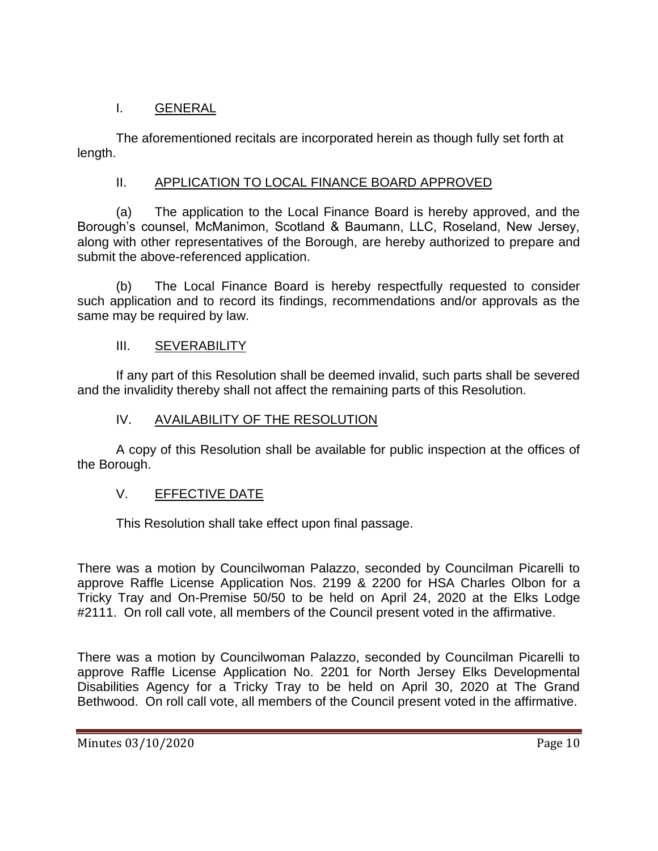# I. GENERAL

The aforementioned recitals are incorporated herein as though fully set forth at length.

# II. APPLICATION TO LOCAL FINANCE BOARD APPROVED

(a) The application to the Local Finance Board is hereby approved, and the Borough's counsel, McManimon, Scotland & Baumann, LLC, Roseland, New Jersey, along with other representatives of the Borough, are hereby authorized to prepare and submit the above-referenced application.

(b) The Local Finance Board is hereby respectfully requested to consider such application and to record its findings, recommendations and/or approvals as the same may be required by law.

# III. SEVERABILITY

If any part of this Resolution shall be deemed invalid, such parts shall be severed and the invalidity thereby shall not affect the remaining parts of this Resolution.

# IV. AVAILABILITY OF THE RESOLUTION

A copy of this Resolution shall be available for public inspection at the offices of the Borough.

# V. EFFECTIVE DATE

This Resolution shall take effect upon final passage.

There was a motion by Councilwoman Palazzo, seconded by Councilman Picarelli to approve Raffle License Application Nos. 2199 & 2200 for HSA Charles Olbon for a Tricky Tray and On-Premise 50/50 to be held on April 24, 2020 at the Elks Lodge #2111. On roll call vote, all members of the Council present voted in the affirmative.

There was a motion by Councilwoman Palazzo, seconded by Councilman Picarelli to approve Raffle License Application No. 2201 for North Jersey Elks Developmental Disabilities Agency for a Tricky Tray to be held on April 30, 2020 at The Grand Bethwood. On roll call vote, all members of the Council present voted in the affirmative.